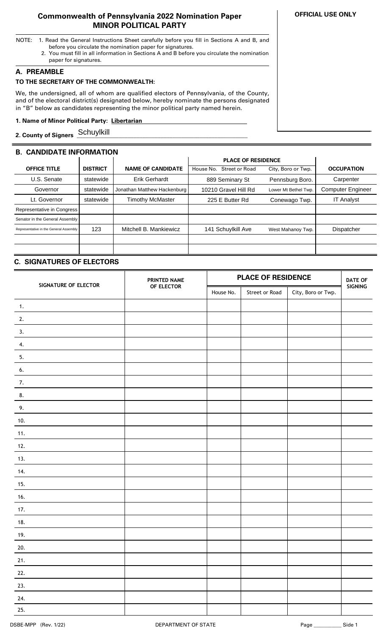## **Commonwealth of Pennsylvania 2022 Nomination Paper MINOR POLITICAL PARTY**

- NOTE: 1. Read the General Instructions Sheet carefully before you fill in Sections A and B, and before you circulate the nomination paper for signatures.
	- 2. You must fill in all information in Sections A and B before you circulate the nomination paper for signatures.

## **A. PREAMBLE**

### **TO THE SECRETARY OF THE COMMONWEALTH:**

We, the undersigned, all of whom are qualified electors of Pennsylvania, of the County, and of the electoral district(s) designated below, hereby nominate the persons designated in "B" below as candidates representing the minor political party named herein.

# **1. Name of Minor Political Party: Libertarian ..**

**2. County of Signers \_\_\_\_\_\_\_\_\_\_\_\_\_\_\_\_\_\_\_\_\_\_\_\_\_\_\_\_\_\_\_\_\_\_\_\_\_\_\_\_\_\_\_\_\_\_\_\_\_\_\_\_\_\_\_\_\_** Schuylkill

## **B. CANDIDATE INFORMATION**

|                                        |                 |                             | <b>PLACE OF RESIDENCE</b>   |                      |                          |
|----------------------------------------|-----------------|-----------------------------|-----------------------------|----------------------|--------------------------|
| <b>OFFICE TITLE</b>                    | <b>DISTRICT</b> | <b>NAME OF CANDIDATE</b>    | Street or Road<br>House No. | City, Boro or Twp.   | <b>OCCUPATION</b>        |
| U.S. Senate                            | statewide       | <b>Erik Gerhardt</b>        | 889 Seminary St             | Pennsburg Boro.      | Carpenter                |
| Governor                               | statewide       | Jonathan Matthew Hackenburg | 10210 Gravel Hill Rd        | Lower Mt Bethel Twp. | <b>Computer Engineer</b> |
| Lt. Governor                           | statewide       | <b>Timothy McMaster</b>     | 225 E Butter Rd             | Conewago Twp.        | <b>IT Analyst</b>        |
| Representative in Congress             |                 |                             |                             |                      |                          |
| Senator in the General Assembly        |                 |                             |                             |                      |                          |
| Representative in the General Assembly | 123             | Mitchell B. Mankiewicz      | 141 Schuylkill Ave          | West Mahanoy Twp.    | Dispatcher               |
|                                        |                 |                             |                             |                      |                          |
|                                        |                 |                             |                             |                      |                          |

# **C. SIGNATURES OF ELECTORS**

| SIGNATURE OF ELECTOR | PRINTED NAME | <b>PLACE OF RESIDENCE</b> |                |                    | <b>DATE OF</b> |
|----------------------|--------------|---------------------------|----------------|--------------------|----------------|
|                      | OF ELECTOR   | House No.                 | Street or Road | City, Boro or Twp. | SIGNING        |
| $\mathbf{1}$ .       |              |                           |                |                    |                |
| 2.                   |              |                           |                |                    |                |
| 3.                   |              |                           |                |                    |                |
| 4.                   |              |                           |                |                    |                |
| 5.                   |              |                           |                |                    |                |
| 6.                   |              |                           |                |                    |                |
| 7.                   |              |                           |                |                    |                |
| 8.                   |              |                           |                |                    |                |
| 9.                   |              |                           |                |                    |                |
| 10.                  |              |                           |                |                    |                |
| 11.                  |              |                           |                |                    |                |
| 12.                  |              |                           |                |                    |                |
| 13.                  |              |                           |                |                    |                |
| 14.                  |              |                           |                |                    |                |
| 15.                  |              |                           |                |                    |                |
| 16.                  |              |                           |                |                    |                |
| 17.                  |              |                           |                |                    |                |
| 18.                  |              |                           |                |                    |                |
| 19.                  |              |                           |                |                    |                |
| 20.                  |              |                           |                |                    |                |
| 21.                  |              |                           |                |                    |                |
| 22.                  |              |                           |                |                    |                |
| 23.                  |              |                           |                |                    |                |
| 24.                  |              |                           |                |                    |                |
| 25.                  |              |                           |                |                    |                |